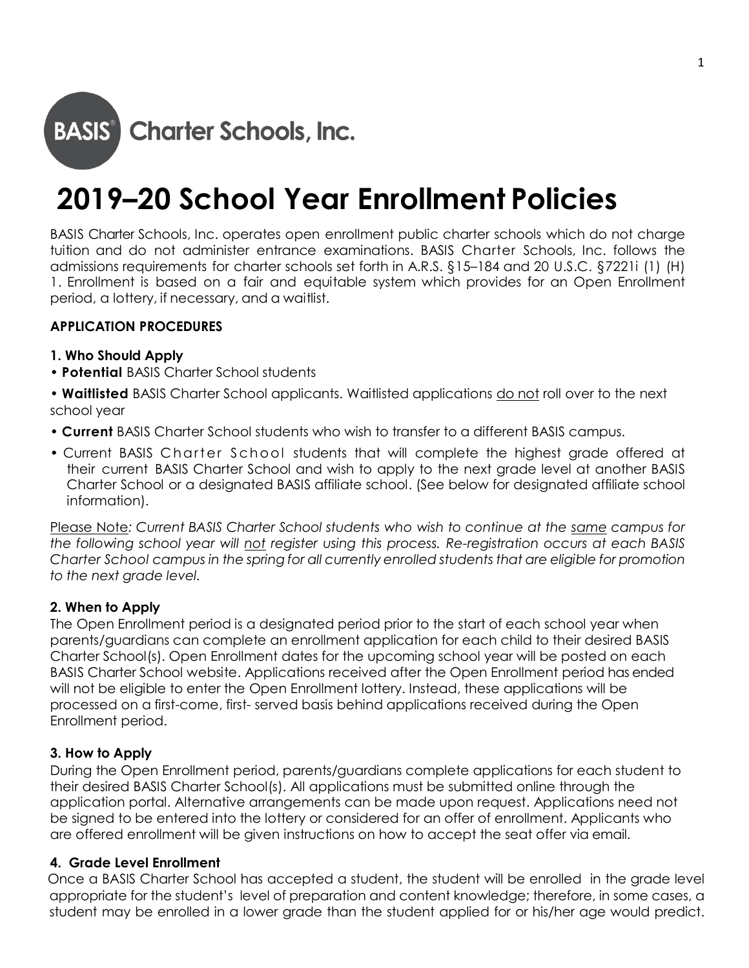

# **2019–20 School Year Enrollment Policies**

BASIS Charter Schools, Inc. operates open enrollment public charter schools which do not charge tuition and do not administer entrance examinations. BASIS Charter Schools, Inc. follows the admissions requirements for charter schools set forth in A.R.S. §15–184 and 20 U.S.C. §7221i (1) (H) 1. Enrollment is based on a fair and equitable system which provides for an Open Enrollment period, a lottery, if necessary, and a waitlist.

### **APPLICATION PROCEDURES**

#### **1. Who Should Apply**

**• Potential** BASIS Charter School students

**• Waitlisted** BASIS Charter School applicants. Waitlisted applications do not roll over to the next school year

- **Current** BASIS Charter School students who wish to transfer to a different BASIS campus.
- Current BASIS Charter School students that will complete the highest grade offered at their current BASIS Charter School and wish to apply to the next grade level at another BASIS Charter School or a designated BASIS affiliate school. (See below for designated affiliate school information).

Please Note*: Current BASIS Charter School students who wish to continue at the same campus for the following school year will not register using this process. Re-registration occurs at each BASIS Charter School campus in the spring for all currently enrolled students that are eligible for promotion to the next grade level.*

#### **2. When to Apply**

The Open Enrollment period is a designated period prior to the start of each school year when parents/guardians can complete an enrollment application for each child to their desired BASIS Charter School(s). Open Enrollment dates for the upcoming school year will be posted on each BASIS Charter School website. Applications received after the Open Enrollment period has ended will not be eligible to enter the Open Enrollment lottery. Instead, these applications will be processed on a first-come, first- served basis behind applications received during the Open Enrollment period.

#### **3. How to Apply**

During the Open Enrollment period, parents/guardians complete applications for each student to their desired BASIS Charter School(s). All applications must be submitted online through the application portal. Alternative arrangements can be made upon request. Applications need not be signed to be entered into the lottery or considered for an offer of enrollment. Applicants who are offered enrollment will be given instructions on how to accept the seat offer via email.

#### **4. Grade Level Enrollment**

Once a BASIS Charter School has accepted a student, the student will be enrolled in the grade level appropriate for the student's level of preparation and content knowledge; therefore, in some cases, a student may be enrolled in a lower grade than the student applied for or his/her age would predict.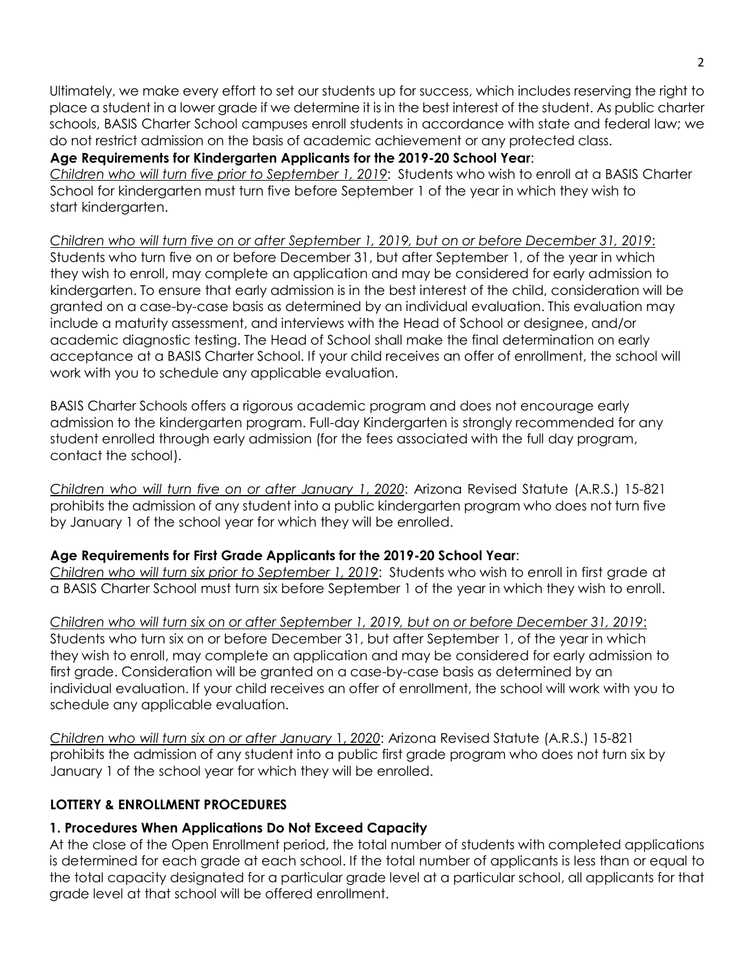Ultimately, we make every effort to set our students up for success, which includes reserving the right to place a student in a lower grade if we determine it is in the best interest of the student. As public charter schools, BASIS Charter School campuses enroll students in accordance with state and federal law; we do not restrict admission on the basis of academic achievement or any protected class.

### **Age Requirements for Kindergarten Applicants for the 2019-20 School Year**:

*Children who will turn five prior to September 1, 2019*: Students who wish to enroll at a BASIS Charter School for kindergarten must turn five before September 1 of the year in which they wish to start kindergarten.

*Children who will turn five on or after September 1, 2019, but on or before December 31, 2019*: Students who turn five on or before December 31, but after September 1, of the year in which they wish to enroll, may complete an application and may be considered for early admission to kindergarten. To ensure that early admission is in the best interest of the child, consideration will be granted on a case-by-case basis as determined by an individual evaluation. This evaluation may include a maturity assessment, and interviews with the Head of School or designee, and/or academic diagnostic testing. The Head of School shall make the final determination on early acceptance at a BASIS Charter School. If your child receives an offer of enrollment, the school will work with you to schedule any applicable evaluation.

BASIS Charter Schools offers a rigorous academic program and does not encourage early admission to the kindergarten program. Full-day Kindergarten is strongly recommended for any student enrolled through early admission (for the fees associated with the full day program, contact the school).

*Children who will turn five on or after January 1*, *2020*: Arizona Revised Statute (A.R.S.) 15-821 prohibits the admission of any student into a public kindergarten program who does not turn five by January 1 of the school year for which they will be enrolled.

## **Age Requirements for First Grade Applicants for the 2019-20 School Year**:

*Children who will turn six prior to September 1, 2019*: Students who wish to enroll in first grade at a BASIS Charter School must turn six before September 1 of the year in which they wish to enroll.

*Children who will turn six on or after September 1, 2019, but on or before December 31, 2019*: Students who turn six on or before December 31, but after September 1, of the year in which they wish to enroll, may complete an application and may be considered for early admission to first grade. Consideration will be granted on a case-by-case basis as determined by an individual evaluation. If your child receives an offer of enrollment, the school will work with you to schedule any applicable evaluation.

*Children who will turn six on or after January* 1, *2020*: Arizona Revised Statute (A.R.S.) 15-821 prohibits the admission of any student into a public first grade program who does not turn six by January 1 of the school year for which they will be enrolled.

## **LOTTERY & ENROLLMENT PROCEDURES**

## **1. Procedures When Applications Do Not Exceed Capacity**

At the close of the Open Enrollment period, the total number of students with completed applications is determined for each grade at each school. If the total number of applicants is less than or equal to the total capacity designated for a particular grade level at a particular school, all applicants for that grade level at that school will be offered enrollment.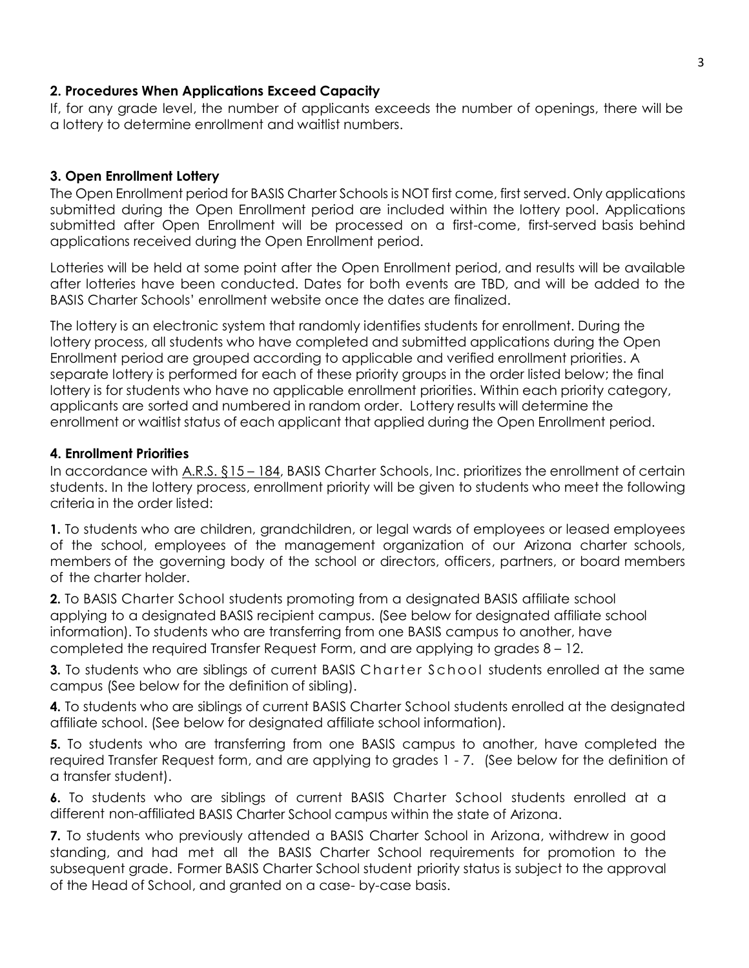#### **2. Procedures When Applications Exceed Capacity**

If, for any grade level, the number of applicants exceeds the number of openings, there will be a lottery to determine enrollment and waitlist numbers.

### **3. Open Enrollment Lottery**

The Open Enrollment period for BASIS Charter Schools is NOT first come, first served. Only applications submitted during the Open Enrollment period are included within the lottery pool. Applications submitted after Open Enrollment will be processed on a first-come, first-served basis behind applications received during the Open Enrollment period.

Lotteries will be held at some point after the Open Enrollment period, and results will be available after lotteries have been conducted. Dates for both events are TBD, and will be added to the BASIS Charter Schools' enrollment website once the dates are finalized.

The lottery is an electronic system that randomly identifies students for enrollment. During the lottery process, all students who have completed and submitted applications during the Open Enrollment period are grouped according to applicable and verified enrollment priorities. A separate lottery is performed for each of these priority groups in the order listed below; the final lottery is for students who have no applicable enrollment priorities. Within each priority category, applicants are sorted and numbered in random order. Lottery results will determine the enrollment or waitlist status of each applicant that applied during the Open Enrollment period.

#### **4. Enrollment Priorities**

In accordance with [A.R.S.](http://www.azleg.state.az.us/ars/15/00184.htm) §15 – 184, BASIS Charter Schools, Inc. prioritizes the enrollment of certain students. In the lottery process, enrollment priority will be given to students who meet the following criteria in the order listed:

**1.** To students who are children, grandchildren, or legal wards of employees or leased employees of the school, employees of the management organization of our Arizona charter schools, members of the governing body of the school or directors, officers, partners, or board members of the charter holder.

**2.** To BASIS Charter School students promoting from a designated BASIS affiliate school applying to a designated BASIS recipient campus. (See below for designated affiliate school information). To students who are transferring from one BASIS campus to another, have completed the required Transfer Request Form, and are applying to grades 8 – 12.

**3.** To students who are siblings of current BASIS Charter School students enrolled at the same campus (See below for the definition of sibling).

**4.** To students who are siblings of current BASIS Charter School students enrolled at the designated affiliate school. (See below for designated affiliate school information).

**5.** To students who are transferring from one BASIS campus to another, have completed the required Transfer Request form, and are applying to grades 1 - 7. (See below for the definition of a transfer student).

**6.** To students who are siblings of current BASIS Charter School students enrolled at a different non-affiliated BASIS Charter School campus within the state of Arizona.

**7.** To students who previously attended a BASIS Charter School in Arizona, withdrew in good standing, and had met all the BASIS Charter School requirements for promotion to the subsequent grade. Former BASIS Charter School student priority status is subject to the approval of the Head of School, and granted on a case- by-case basis.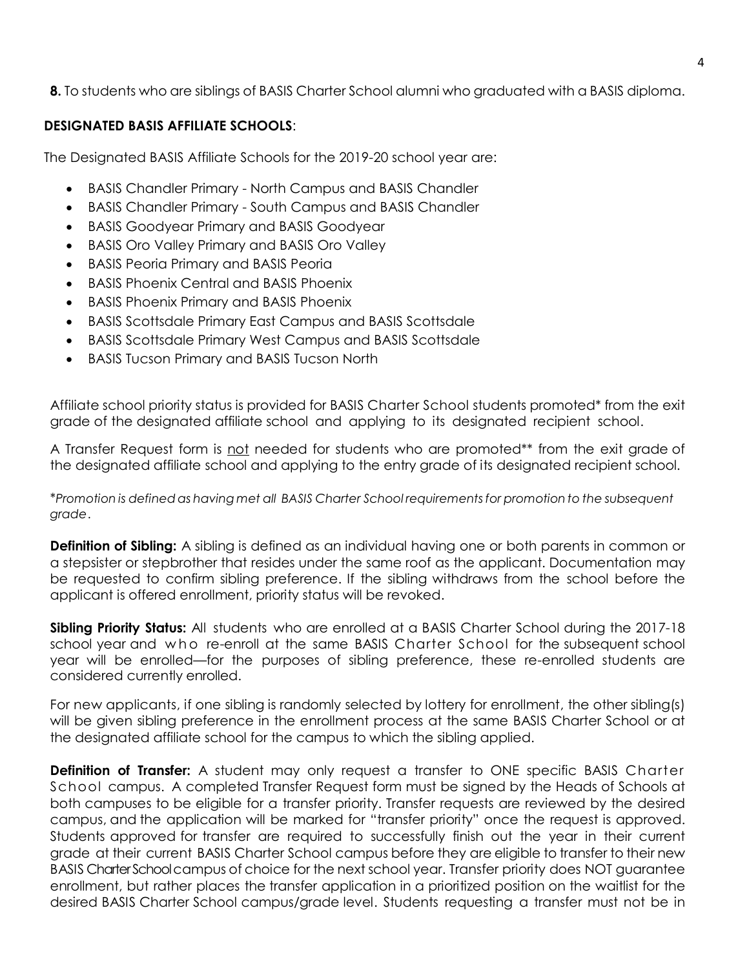**8.** To students who are siblings of BASIS Charter School alumni who graduated with a BASIS diploma.

## **DESIGNATED BASIS AFFILIATE SCHOOLS**:

The Designated BASIS Affiliate Schools for the 2019-20 school year are:

- BASIS Chandler Primary North Campus and BASIS Chandler
- BASIS Chandler Primary South Campus and BASIS Chandler
- BASIS Goodyear Primary and BASIS Goodyear
- BASIS Oro Valley Primary and BASIS Oro Valley
- BASIS Peoria Primary and BASIS Peoria
- BASIS Phoenix Central and BASIS Phoenix
- BASIS Phoenix Primary and BASIS Phoenix
- BASIS Scottsdale Primary East Campus and BASIS Scottsdale
- BASIS Scottsdale Primary West Campus and BASIS Scottsdale
- BASIS Tucson Primary and BASIS Tucson North

Affiliate school priority status is provided for BASIS Charter School students promoted\* from the exit grade of the designated affiliate school and applying to its designated recipient school.

A Transfer Request form is not needed for students who are promoted\*\* from the exit grade of the designated affiliate school and applying to the entry grade of its designated recipient school.

\**Promotion is definedas having met all BASIS Charter School requirementsfor promotionto the subsequent grade*.

**Definition of Sibling:** A sibling is defined as an individual having one or both parents in common or a stepsister or stepbrother that resides under the same roof as the applicant. Documentation may be requested to confirm sibling preference. If the sibling withdraws from the school before the applicant is offered enrollment, priority status will be revoked.

**Sibling Priority Status:** All students who are enrolled at a BASIS Charter School during the 2017-18 school year and who re-enroll at the same BASIS Charter School for the subsequent school year will be enrolled—for the purposes of sibling preference, these re-enrolled students are considered currently enrolled.

For new applicants, if one sibling is randomly selected by lottery for enrollment, the other sibling(s) will be given sibling preference in the enrollment process at the same BASIS Charter School or at the designated affiliate school for the campus to which the sibling applied.

**Definition of Transfer:** A student may only request a transfer to ONE specific BASIS Charter School campus. A completed Transfer Request form must be signed by the Heads of Schools at both campuses to be eligible for a transfer priority. Transfer requests are reviewed by the desired campus, and the application will be marked for "transfer priority" once the request is approved. Students approved for transfer are required to successfully finish out the year in their current grade at their current BASIS Charter School campus before they are eligible to transfer to their new BASIS Charter School campus of choice for the next school year. Transfer priority does NOT guarantee enrollment, but rather places the transfer application in a prioritized position on the waitlist for the desired BASIS Charter School campus/grade level. Students requesting a transfer must not be in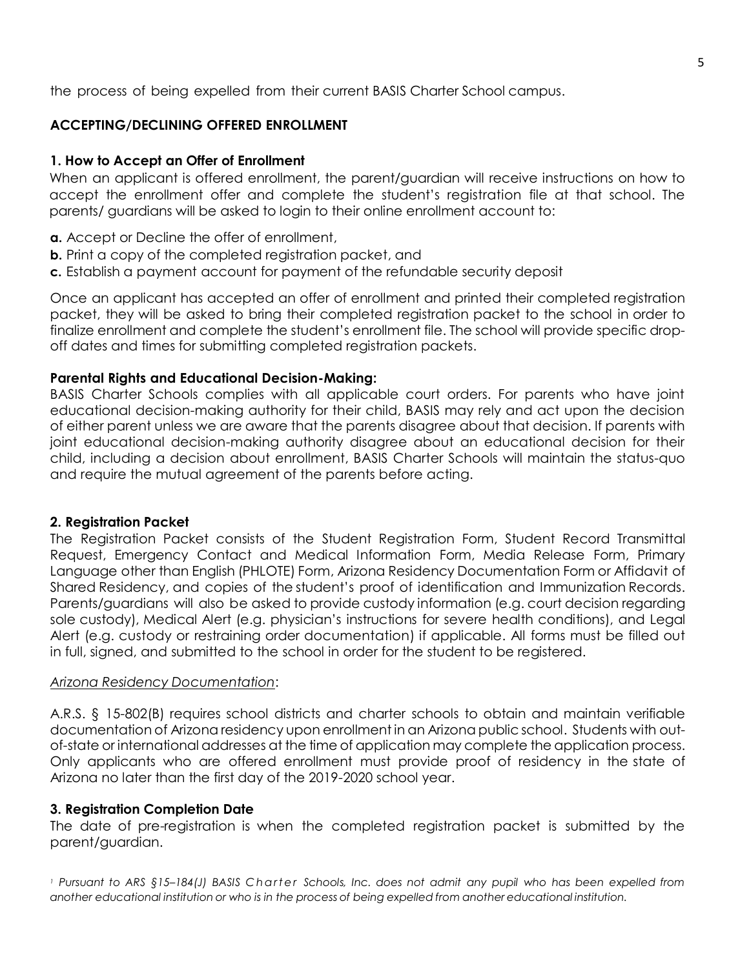the process of being expelled from their current BASIS Charter School campus.

## **ACCEPTING/DECLINING OFFERED ENROLLMENT**

## **1. How to Accept an Offer of Enrollment**

When an applicant is offered enrollment, the parent/guardian will receive instructions on how to accept the enrollment offer and complete the student's registration file at that school. The parents/ guardians will be asked to login to their online enrollment account to:

- **a.** Accept or Decline the offer of enrollment,
- **b.** Print a copy of the completed registration packet, and
- **c.** Establish a payment account for payment of the refundable security deposit

Once an applicant has accepted an offer of enrollment and printed their completed registration packet, they will be asked to bring their completed registration packet to the school in order to finalize enrollment and complete the student's enrollment file. The school will provide specific dropoff dates and times for submitting completed registration packets.

## **Parental Rights and Educational Decision-Making:**

BASIS Charter Schools complies with all applicable court orders. For parents who have joint educational decision-making authority for their child, BASIS may rely and act upon the decision of either parent unless we are aware that the parents disagree about that decision. If parents with joint educational decision-making authority disagree about an educational decision for their child, including a decision about enrollment, BASIS Charter Schools will maintain the status-quo and require the mutual agreement of the parents before acting.

## **2. Registration Packet**

The Registration Packet consists of the Student Registration Form, Student Record Transmittal Request, Emergency Contact and Medical Information Form, Media Release Form, Primary Language other than English (PHLOTE) Form, Arizona Residency Documentation Form or Affidavit of Shared Residency, and copies of the student's proof of identification and Immunization Records. Parents/guardians will also be asked to provide custody information (e.g. court decision regarding sole custody), Medical Alert (e.g. physician's instructions for severe health conditions), and Legal Alert (e.g. custody or restraining order documentation) if applicable. All forms must be filled out in full, signed, and submitted to the school in order for the student to be registered.

## *Arizona Residency Documentation*:

A.R.S. § 15-802(B) requires school districts and charter schools to obtain and maintain verifiable documentation of Arizona residency upon enrollment in an Arizona public school. Students with outof-state or international addresses at the time of application may complete the application process. Only applicants who are offered enrollment must provide proof of residency in the state of Arizona no later than the first day of the 2019-2020 school year.

## **3. Registration Completion Date**

The date of pre-registration is when the completed registration packet is submitted by the parent/guardian.

Pursuant to ARS §15-184(J) BASIS Charter Schools, Inc. does not admit any pupil who has been expelled from *another educational institution or who is in the process of being expelled from another educational institution.*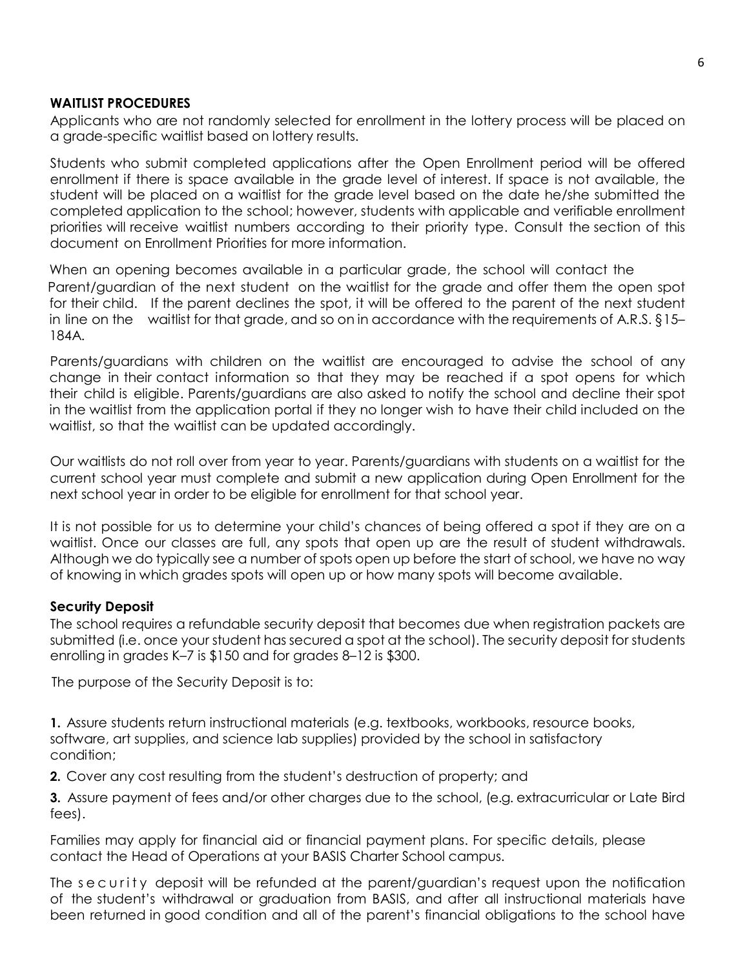#### **WAITLIST PROCEDURES**

Applicants who are not randomly selected for enrollment in the lottery process will be placed on a grade-specific waitlist based on lottery results.

Students who submit completed applications after the Open Enrollment period will be offered enrollment if there is space available in the grade level of interest. If space is not available, the student will be placed on a waitlist for the grade level based on the date he/she submitted the completed application to the school; however, students with applicable and verifiable enrollment priorities will receive waitlist numbers according to their priority type. Consult the section of this document on Enrollment Priorities for more information.

When an opening becomes available in a particular grade, the school will contact the Parent/guardian of the next student on the waitlist for the grade and offer them the open spot for their child. If the parent declines the spot, it will be offered to the parent of the next student in line on the waitlist for that grade, and so on in accordance with the requirements of A.R.S. §15– 184A.

Parents/guardians with children on the waitlist are encouraged to advise the school of any change in their contact information so that they may be reached if a spot opens for which their child is eligible. Parents/guardians are also asked to notify the school and decline their spot in the waitlist from the application portal if they no longer wish to have their child included on the waitlist, so that the waitlist can be updated accordingly.

Our waitlists do not roll over from year to year. Parents/guardians with students on a waitlist for the current school year must complete and submit a new application during Open Enrollment for the next school year in order to be eligible for enrollment for that school year.

It is not possible for us to determine your child's chances of being offered a spot if they are on a waitlist. Once our classes are full, any spots that open up are the result of student withdrawals. Although we do typically see a number of spots open up before the start of school, we have no way of knowing in which grades spots will open up or how many spots will become available.

#### **Security Deposit**

The school requires a refundable security deposit that becomes due when registration packets are submitted (i.e. once your student has secured a spot at the school). The security deposit for students enrolling in grades K–7 is \$150 and for grades 8–12 is \$300.

The purpose of the Security Deposit is to:

**1.** Assure students return instructional materials (e.g. textbooks, workbooks, resource books, software, art supplies, and science lab supplies) provided by the school in satisfactory condition;

**2.** Cover any cost resulting from the student's destruction of property; and

**3.** Assure payment of fees and/or other charges due to the school, (e.g. extracurricular or Late Bird fees).

Families may apply for financial aid or financial payment plans. For specific details, please contact the Head of Operations at your BASIS Charter School campus.

The security deposit will be refunded at the parent/guardian's request upon the notification of the student's withdrawal or graduation from BASIS, and after all instructional materials have been returned in good condition and all of the parent's financial obligations to the school have